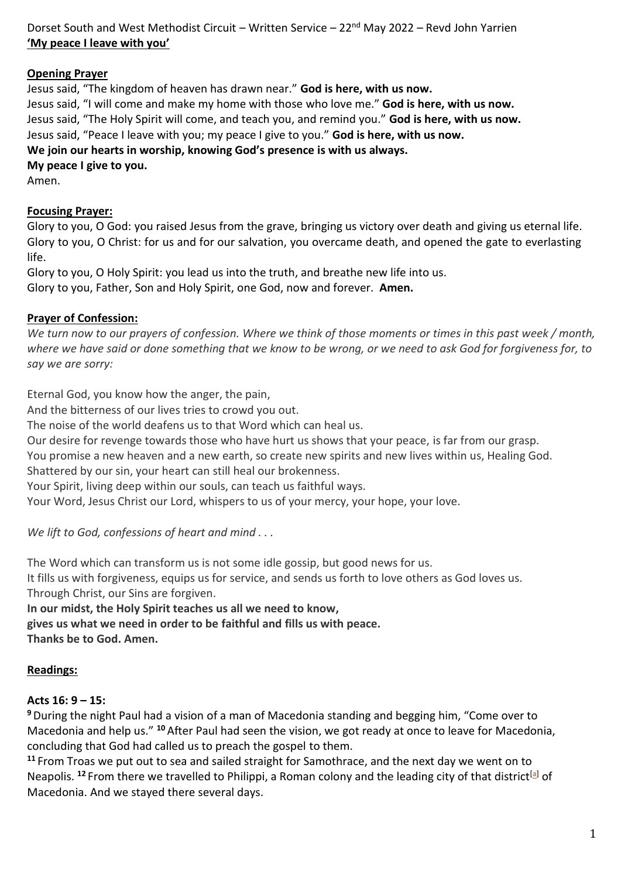Dorset South and West Methodist Circuit – Written Service – 22<sup>nd</sup> May 2022 – Revd John Yarrien **'My peace I leave with you'**

#### **Opening Prayer**

Jesus said, "The kingdom of heaven has drawn near." **God is here, with us now.** Jesus said, "I will come and make my home with those who love me." **God is here, with us now.** Jesus said, "The Holy Spirit will come, and teach you, and remind you." **God is here, with us now.** Jesus said, "Peace I leave with you; my peace I give to you." **God is here, with us now. We join our hearts in worship, knowing God's presence is with us always.**

**My peace I give to you.**

Amen.

#### **Focusing Prayer:**

Glory to you, O God: you raised Jesus from the grave, bringing us victory over death and giving us eternal life. Glory to you, O Christ: for us and for our salvation, you overcame death, and opened the gate to everlasting life.

Glory to you, O Holy Spirit: you lead us into the truth, and breathe new life into us. Glory to you, Father, Son and Holy Spirit, one God, now and forever. **Amen.**

# **Prayer of Confession:**

*We turn now to our prayers of confession. Where we think of those moments or times in this past week / month, where we have said or done something that we know to be wrong, or we need to ask God for forgiveness for, to say we are sorry:*

Eternal God, you know how the anger, the pain,

And the bitterness of our lives tries to crowd you out.

The noise of the world deafens us to that Word which can heal us.

Our desire for revenge towards those who have hurt us shows that your peace, is far from our grasp.

You promise a new heaven and a new earth, so create new spirits and new lives within us, Healing God.

Shattered by our sin, your heart can still heal our brokenness.

Your Spirit, living deep within our souls, can teach us faithful ways.

Your Word, Jesus Christ our Lord, whispers to us of your mercy, your hope, your love.

*We lift to God, confessions of heart and mind . . .* 

The Word which can transform us is not some idle gossip, but good news for us.

It fills us with forgiveness, equips us for service, and sends us forth to love others as God loves us. Through Christ, our Sins are forgiven.

**In our midst, the Holy Spirit teaches us all we need to know, gives us what we need in order to be faithful and fills us with peace. Thanks be to God. Amen.**

# **Readings:**

# **Acts 16: 9 – 15:**

**<sup>9</sup>**During the night Paul had a vision of a man of Macedonia standing and begging him, "Come over to Macedonia and help us." **<sup>10</sup>** After Paul had seen the vision, we got ready at once to leave for Macedonia, concluding that God had called us to preach the gospel to them.

**<sup>11</sup>** From Troas we put out to sea and sailed straight for Samothrace, and the next day we went on to Neapolis. <sup>12</sup> From there we travelled to Philippi, a Roman colony and the leading city of that district<sup>[a]</sup> of Macedonia. And we stayed there several days.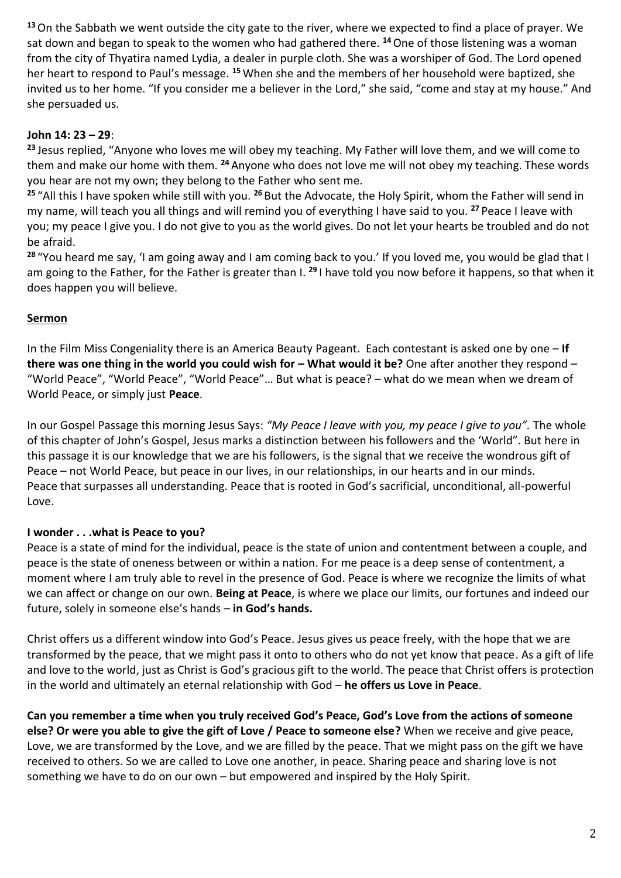**<sup>13</sup>**On the Sabbath we went outside the city gate to the river, where we expected to find a place of prayer. We sat down and began to speak to the women who had gathered there. **<sup>14</sup>**One of those listening was a woman from the city of Thyatira named Lydia, a dealer in purple cloth. She was a worshiper of God. The Lord opened her heart to respond to Paul's message. **<sup>15</sup>** When she and the members of her household were baptized, she invited us to her home. "If you consider me a believer in the Lord," she said, "come and stay at my house." And she persuaded us.

# **John 14: 23 – 29**:

**<sup>23</sup>** Jesus replied, "Anyone who loves me will obey my teaching. My Father will love them, and we will come to them and make our home with them. **<sup>24</sup>** Anyone who does not love me will not obey my teaching. These words you hear are not my own; they belong to the Father who sent me.

**<sup>25</sup>** "All this I have spoken while still with you. **<sup>26</sup>** But the Advocate, the Holy Spirit, whom the Father will send in my name, will teach you all things and will remind you of everything I have said to you. **<sup>27</sup>** Peace I leave with you; my peace I give you. I do not give to you as the world gives. Do not let your hearts be troubled and do not be afraid.

**<sup>28</sup>** "You heard me say, 'I am going away and I am coming back to you.' If you loved me, you would be glad that I am going to the Father, for the Father is greater than I. **<sup>29</sup>** I have told you now before it happens, so that when it does happen you will believe.

# **Sermon**

In the Film Miss Congeniality there is an America Beauty Pageant. Each contestant is asked one by one – **If there was one thing in the world you could wish for – What would it be? One after another they respond –** "World Peace", "World Peace", "World Peace"… But what is peace? – what do we mean when we dream of World Peace, or simply just **Peace**.

In our Gospel Passage this morning Jesus Says: *"My Peace I leave with you, my peace I give to you".* The whole of this chapter of John's Gospel, Jesus marks a distinction between his followers and the 'World". But here in this passage it is our knowledge that we are his followers, is the signal that we receive the wondrous gift of Peace – not World Peace, but peace in our lives, in our relationships, in our hearts and in our minds. Peace that surpasses all understanding. Peace that is rooted in God's sacrificial, unconditional, all-powerful Love.

# **I wonder . . .what is Peace to you?**

Peace is a state of mind for the individual, peace is the state of union and contentment between a couple, and peace is the state of oneness between or within a nation. For me peace is a deep sense of contentment, a moment where I am truly able to revel in the presence of God. Peace is where we recognize the limits of what we can affect or change on our own. **Being at Peace**, is where we place our limits, our fortunes and indeed our future, solely in someone else's hands – **in God's hands.** 

Christ offers us a different window into God's Peace. Jesus gives us peace freely, with the hope that we are transformed by the peace, that we might pass it onto to others who do not yet know that peace. As a gift of life and love to the world, just as Christ is God's gracious gift to the world. The peace that Christ offers is protection in the world and ultimately an eternal relationship with God – **he offers us Love in Peace**.

**Can you remember a time when you truly received God's Peace, God's Love from the actions of someone else? Or were you able to give the gift of Love / Peace to someone else?** When we receive and give peace, Love, we are transformed by the Love, and we are filled by the peace. That we might pass on the gift we have received to others. So we are called to Love one another, in peace. Sharing peace and sharing love is not something we have to do on our own – but empowered and inspired by the Holy Spirit.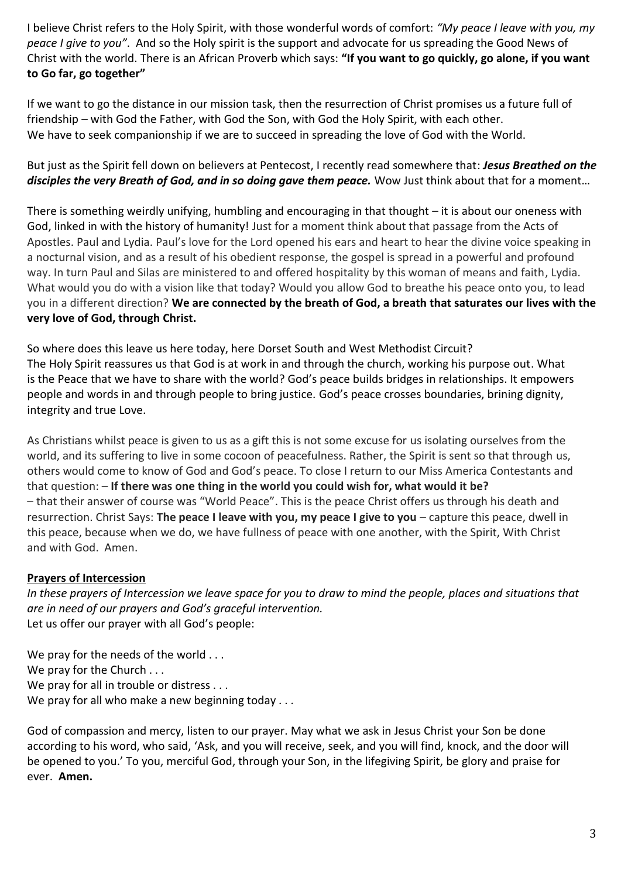I believe Christ refers to the Holy Spirit, with those wonderful words of comfort: *"My peace I leave with you, my peace I give to you"*. And so the Holy spirit is the support and advocate for us spreading the Good News of Christ with the world. There is an African Proverb which says: **"If you want to go quickly, go alone, if you want to Go far, go together"**

If we want to go the distance in our mission task, then the resurrection of Christ promises us a future full of friendship – with God the Father, with God the Son, with God the Holy Spirit, with each other. We have to seek companionship if we are to succeed in spreading the love of God with the World.

But just as the Spirit fell down on believers at Pentecost, I recently read somewhere that: *Jesus Breathed on the*  disciples the very Breath of God, and in so doing gave them peace. Wow Just think about that for a moment...

There is something weirdly unifying, humbling and encouraging in that thought – it is about our oneness with God, linked in with the history of humanity! Just for a moment think about that passage from the Acts of Apostles. Paul and Lydia. Paul's love for the Lord opened his ears and heart to hear the divine voice speaking in a nocturnal vision, and as a result of his obedient response, the gospel is spread in a powerful and profound way. In turn Paul and Silas are ministered to and offered hospitality by this woman of means and faith, Lydia. What would you do with a vision like that today? Would you allow God to breathe his peace onto you, to lead you in a different direction? **We are connected by the breath of God, a breath that saturates our lives with the very love of God, through Christ.** 

So where does this leave us here today, here Dorset South and West Methodist Circuit? The Holy Spirit reassures us that God is at work in and through the church, working his purpose out. What is the Peace that we have to share with the world? God's peace builds bridges in relationships. It empowers people and words in and through people to bring justice. God's peace crosses boundaries, brining dignity, integrity and true Love.

As Christians whilst peace is given to us as a gift this is not some excuse for us isolating ourselves from the world, and its suffering to live in some cocoon of peacefulness. Rather, the Spirit is sent so that through us, others would come to know of God and God's peace. To close I return to our Miss America Contestants and that question: – **If there was one thing in the world you could wish for, what would it be?** – that their answer of course was "World Peace". This is the peace Christ offers us through his death and resurrection. Christ Says: **The peace I leave with you, my peace I give to you** – capture this peace, dwell in this peace, because when we do, we have fullness of peace with one another, with the Spirit, With Christ and with God. Amen.

#### **Prayers of Intercession**

*In these prayers of Intercession we leave space for you to draw to mind the people, places and situations that are in need of our prayers and God's graceful intervention.*  Let us offer our prayer with all God's people:

We pray for the needs of the world . . . We pray for the Church . . . We pray for all in trouble or distress . . . We pray for all who make a new beginning today . . .

God of compassion and mercy, listen to our prayer. May what we ask in Jesus Christ your Son be done according to his word, who said, 'Ask, and you will receive, seek, and you will find, knock, and the door will be opened to you.' To you, merciful God, through your Son, in the lifegiving Spirit, be glory and praise for ever. **Amen.**